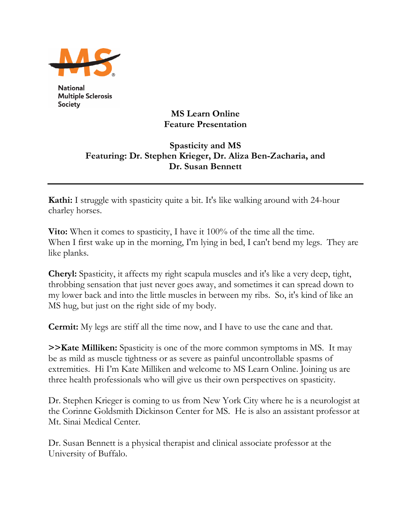

**National Multiple Sclerosis** Society

## **MS Learn Online Feature Presentation**

## **Spasticity and MS Featuring: Dr. Stephen Krieger, Dr. Aliza Ben-Zacharia, and Dr. Susan Bennett**

**Kathi:** I struggle with spasticity quite a bit. It's like walking around with 24-hour charley horses.

**Vito:** When it comes to spasticity, I have it 100% of the time all the time. When I first wake up in the morning, I'm lying in bed, I can't bend my legs. They are like planks.

**Cheryl:** Spasticity, it affects my right scapula muscles and it's like a very deep, tight, throbbing sensation that just never goes away, and sometimes it can spread down to my lower back and into the little muscles in between my ribs. So, it's kind of like an MS hug, but just on the right side of my body.

**Cermit:** My legs are stiff all the time now, and I have to use the cane and that.

**>>Kate Milliken:** Spasticity is one of the more common symptoms in MS. It may be as mild as muscle tightness or as severe as painful uncontrollable spasms of extremities. Hi I'm Kate Milliken and welcome to MS Learn Online. Joining us are three health professionals who will give us their own perspectives on spasticity.

Dr. Stephen Krieger is coming to us from New York City where he is a neurologist at the Corinne Goldsmith Dickinson Center for MS. He is also an assistant professor at Mt. Sinai Medical Center.

Dr. Susan Bennett is a physical therapist and clinical associate professor at the University of Buffalo.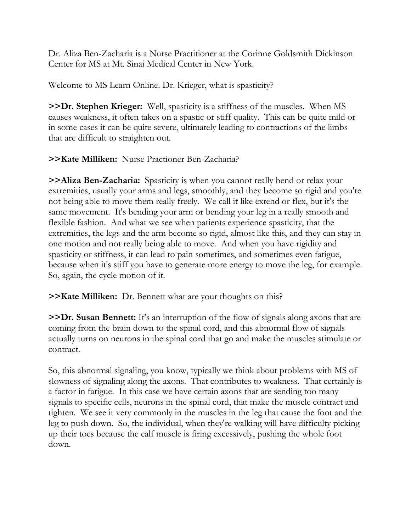Dr. Aliza Ben-Zacharia is a Nurse Practitioner at the Corinne Goldsmith Dickinson Center for MS at Mt. Sinai Medical Center in New York.

Welcome to MS Learn Online. Dr. Krieger, what is spasticity?

**>>Dr. Stephen Krieger:** Well, spasticity is a stiffness of the muscles. When MS causes weakness, it often takes on a spastic or stiff quality. This can be quite mild or in some cases it can be quite severe, ultimately leading to contractions of the limbs that are difficult to straighten out.

## **>>Kate Milliken:** Nurse Practioner Ben-Zacharia?

**>>Aliza Ben-Zacharia:** Spasticity is when you cannot really bend or relax your extremities, usually your arms and legs, smoothly, and they become so rigid and you're not being able to move them really freely. We call it like extend or flex, but it's the same movement. It's bending your arm or bending your leg in a really smooth and flexible fashion. And what we see when patients experience spasticity, that the extremities, the legs and the arm become so rigid, almost like this, and they can stay in one motion and not really being able to move. And when you have rigidity and spasticity or stiffness, it can lead to pain sometimes, and sometimes even fatigue, because when it's stiff you have to generate more energy to move the leg, for example. So, again, the cycle motion of it.

**>>Kate Milliken:** Dr. Bennett what are your thoughts on this?

**>>Dr. Susan Bennett:** It's an interruption of the flow of signals along axons that are coming from the brain down to the spinal cord, and this abnormal flow of signals actually turns on neurons in the spinal cord that go and make the muscles stimulate or contract.

So, this abnormal signaling, you know, typically we think about problems with MS of slowness of signaling along the axons. That contributes to weakness. That certainly is a factor in fatigue. In this case we have certain axons that are sending too many signals to specific cells, neurons in the spinal cord, that make the muscle contract and tighten. We see it very commonly in the muscles in the leg that cause the foot and the leg to push down. So, the individual, when they're walking will have difficulty picking up their toes because the calf muscle is firing excessively, pushing the whole foot down.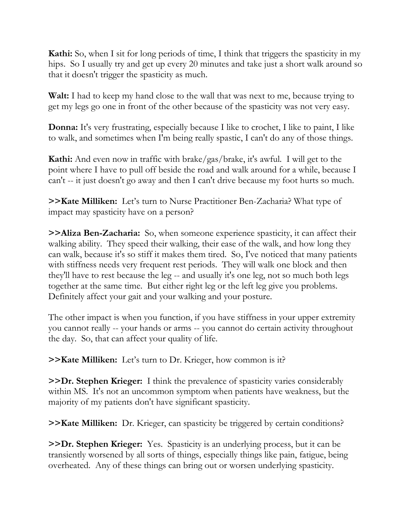**Kathi:** So, when I sit for long periods of time, I think that triggers the spasticity in my hips. So I usually try and get up every 20 minutes and take just a short walk around so that it doesn't trigger the spasticity as much.

**Walt:** I had to keep my hand close to the wall that was next to me, because trying to get my legs go one in front of the other because of the spasticity was not very easy.

**Donna:** It's very frustrating, especially because I like to crochet, I like to paint, I like to walk, and sometimes when I'm being really spastic, I can't do any of those things.

**Kathi:** And even now in traffic with brake/gas/brake, it's awful. I will get to the point where I have to pull off beside the road and walk around for a while, because I can't -- it just doesn't go away and then I can't drive because my foot hurts so much.

**>>Kate Milliken:** Let's turn to Nurse Practitioner Ben-Zacharia? What type of impact may spasticity have on a person?

**>>Aliza Ben-Zacharia:** So, when someone experience spasticity, it can affect their walking ability. They speed their walking, their ease of the walk, and how long they can walk, because it's so stiff it makes them tired. So, I've noticed that many patients with stiffness needs very frequent rest periods. They will walk one block and then they'll have to rest because the leg -- and usually it's one leg, not so much both legs together at the same time. But either right leg or the left leg give you problems. Definitely affect your gait and your walking and your posture.

The other impact is when you function, if you have stiffness in your upper extremity you cannot really -- your hands or arms -- you cannot do certain activity throughout the day. So, that can affect your quality of life.

**>>Kate Milliken:** Let's turn to Dr. Krieger, how common is it?

**>>Dr. Stephen Krieger:** I think the prevalence of spasticity varies considerably within MS. It's not an uncommon symptom when patients have weakness, but the majority of my patients don't have significant spasticity.

**>>Kate Milliken:** Dr. Krieger, can spasticity be triggered by certain conditions?

**>>Dr. Stephen Krieger:** Yes. Spasticity is an underlying process, but it can be transiently worsened by all sorts of things, especially things like pain, fatigue, being overheated. Any of these things can bring out or worsen underlying spasticity.